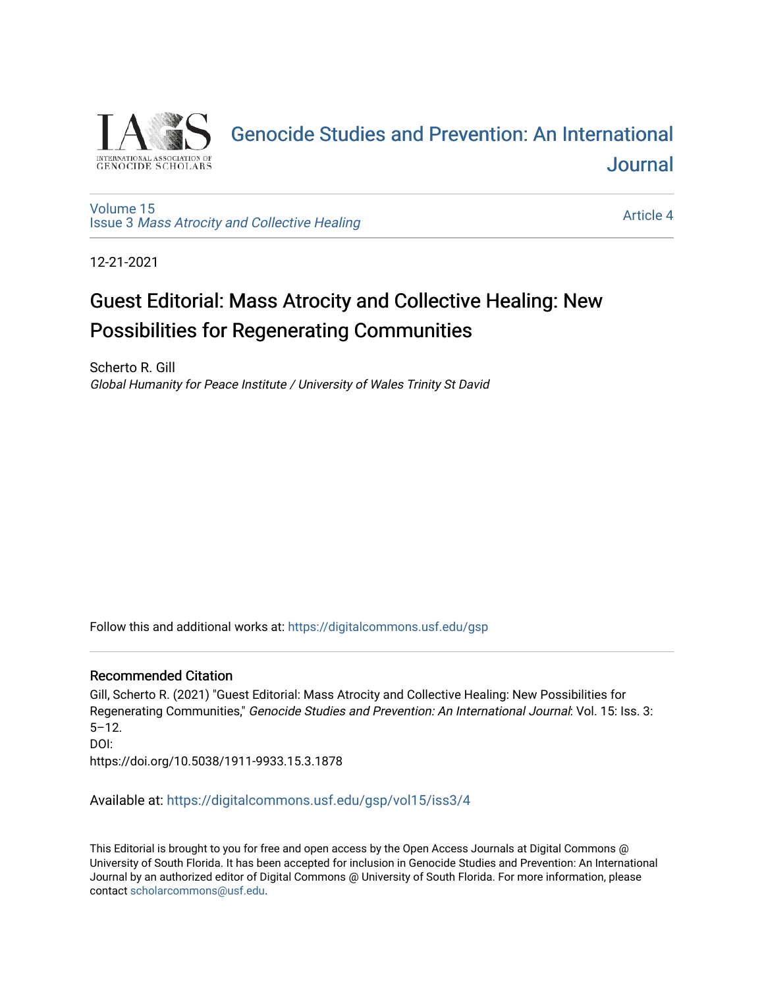

# [Genocide Studies and Prevention: An International](https://digitalcommons.usf.edu/gsp)  [Journal](https://digitalcommons.usf.edu/gsp)

[Volume 15](https://digitalcommons.usf.edu/gsp/vol15) Issue 3 [Mass Atrocity and Collective Healing](https://digitalcommons.usf.edu/gsp/vol15/iss3) 

[Article 4](https://digitalcommons.usf.edu/gsp/vol15/iss3/4) 

12-21-2021

# Guest Editorial: Mass Atrocity and Collective Healing: New Possibilities for Regenerating Communities

Scherto R. Gill Global Humanity for Peace Institute / University of Wales Trinity St David

Follow this and additional works at: [https://digitalcommons.usf.edu/gsp](https://digitalcommons.usf.edu/gsp?utm_source=digitalcommons.usf.edu%2Fgsp%2Fvol15%2Fiss3%2F4&utm_medium=PDF&utm_campaign=PDFCoverPages) 

### Recommended Citation

Gill, Scherto R. (2021) "Guest Editorial: Mass Atrocity and Collective Healing: New Possibilities for Regenerating Communities," Genocide Studies and Prevention: An International Journal: Vol. 15: Iss. 3: 5–12. DOI: https://doi.org/10.5038/1911-9933.15.3.1878

Available at: [https://digitalcommons.usf.edu/gsp/vol15/iss3/4](https://digitalcommons.usf.edu/gsp/vol15/iss3/4?utm_source=digitalcommons.usf.edu%2Fgsp%2Fvol15%2Fiss3%2F4&utm_medium=PDF&utm_campaign=PDFCoverPages)

This Editorial is brought to you for free and open access by the Open Access Journals at Digital Commons @ University of South Florida. It has been accepted for inclusion in Genocide Studies and Prevention: An International Journal by an authorized editor of Digital Commons @ University of South Florida. For more information, please contact [scholarcommons@usf.edu](mailto:scholarcommons@usf.edu).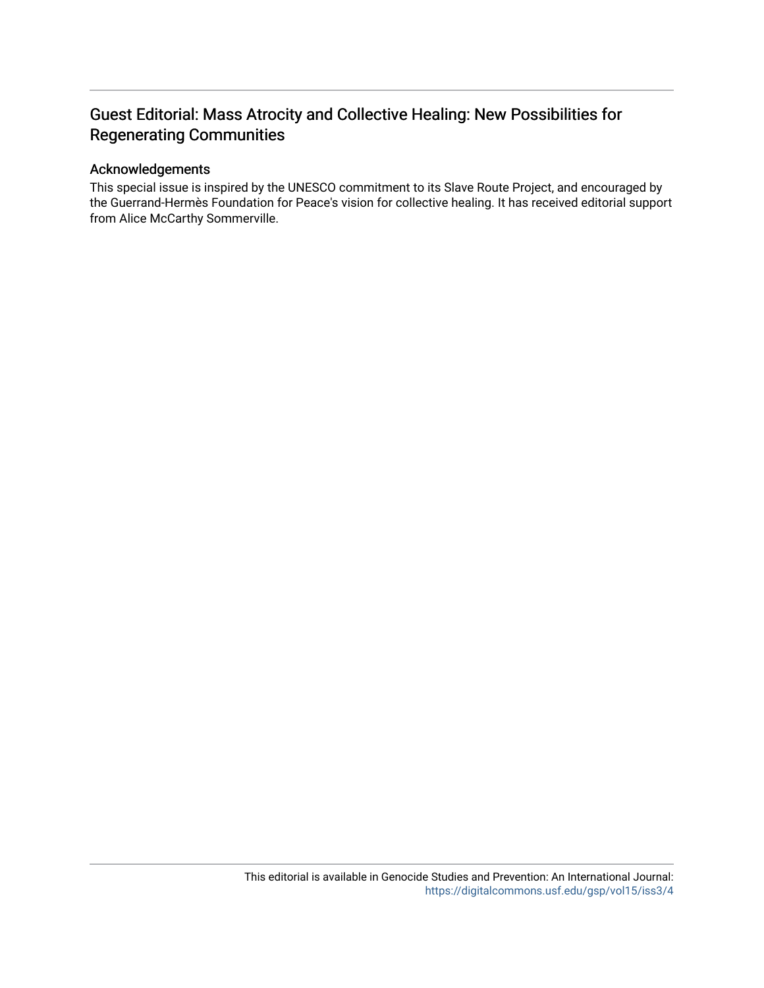# Guest Editorial: Mass Atrocity and Collective Healing: New Possibilities for Regenerating Communities

## Acknowledgements

This special issue is inspired by the UNESCO commitment to its Slave Route Project, and encouraged by the Guerrand-Hermès Foundation for Peace's vision for collective healing. It has received editorial support from Alice McCarthy Sommerville.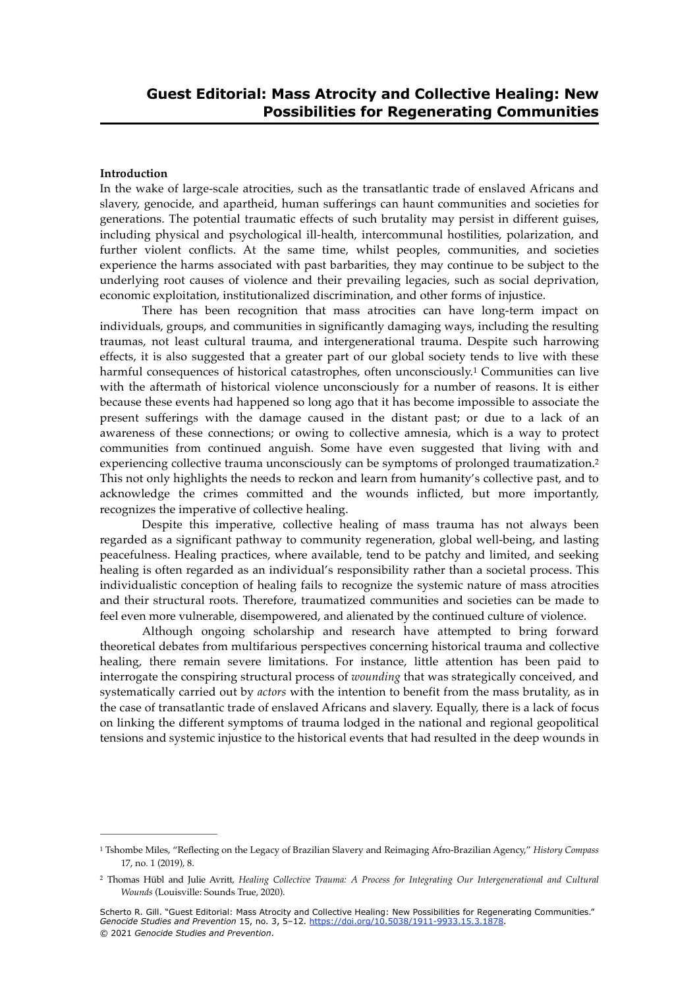#### **Introduction**

In the wake of large-scale atrocities, such as the transatlantic trade of enslaved Africans and slavery, genocide, and apartheid, human sufferings can haunt communities and societies for generations. The potential traumatic effects of such brutality may persist in different guises, including physical and psychological ill-health, intercommunal hostilities, polarization, and further violent conflicts. At the same time, whilst peoples, communities, and societies experience the harms associated with past barbarities, they may continue to be subject to the underlying root causes of violence and their prevailing legacies, such as social deprivation, economic exploitation, institutionalized discrimination, and other forms of injustice.

<span id="page-2-2"></span>There has been recognition that mass atrocities can have long-term impact on individuals, groups, and communities in significantly damaging ways, including the resulting traumas, not least cultural trauma, and intergenerational trauma. Despite such harrowing effects, it is also suggested that a greater part of our global society tends to live with these harmful consequences of historical catastrophes, often unconsciously.<sup>[1](#page-2-0)</sup> Communities can live with the aftermath of historical violence unconsciously for a number of reasons. It is either because these events had happened so long ago that it has become impossible to associate the present sufferings with the damage caused in the distant past; or due to a lack of an awareness of these connections; or owing to collective amnesia, which is a way to protect communities from continued anguish. Some have even suggested that living with and experiencing collective trauma unconsciously can be symptoms of prolonged traumatization.[2](#page-2-1) This not only highlights the needs to reckon and learn from humanity's collective past, and to acknowledge the crimes committed and the wounds inflicted, but more importantly, recognizes the imperative of collective healing.

<span id="page-2-3"></span>Despite this imperative, collective healing of mass trauma has not always been regarded as a significant pathway to community regeneration, global well-being, and lasting peacefulness. Healing practices, where available, tend to be patchy and limited, and seeking healing is often regarded as an individual's responsibility rather than a societal process. This individualistic conception of healing fails to recognize the systemic nature of mass atrocities and their structural roots. Therefore, traumatized communities and societies can be made to feel even more vulnerable, disempowered, and alienated by the continued culture of violence.

Although ongoing scholarship and research have attempted to bring forward theoretical debates from multifarious perspectives concerning historical trauma and collective healing, there remain severe limitations. For instance, little attention has been paid to interrogate the conspiring structural process of *wounding* that was strategically conceived, and systematically carried out by *actors* with the intention to benefit from the mass brutality, as in the case of transatlantic trade of enslaved Africans and slavery. Equally, there is a lack of focus on linking the different symptoms of trauma lodged in the national and regional geopolitical tensions and systemic injustice to the historical events that had resulted in the deep wounds in

<span id="page-2-0"></span><sup>&</sup>lt;sup>[1](#page-2-2)</sup> Tshombe Miles, "Reflecting on the Legacy of Brazilian Slavery and Reimaging Afro-Brazilian Agency," *History Compass* 17, no. 1 (2019), 8.

<span id="page-2-1"></span>Thomas Hübl and Julie Avritt, *Healing Collective Trauma: A Process for Integrating Our Intergenerational and Cultural* [2](#page-2-3) *Wounds* (Louisville: Sounds True, 2020).

Scherto R. Gill. "Guest Editorial: Mass Atrocity and Collective Healing: New Possibilities for Regenerating Communities." *Genocide Studies and Prevention* 15, no. 3, 5–12. [https://doi.org/10.5038/1911-9933.15.3.1878.](https://doi.org/10.5038/1911-9933.15.3.1878) © 2021 *Genocide Studies and Prevention*.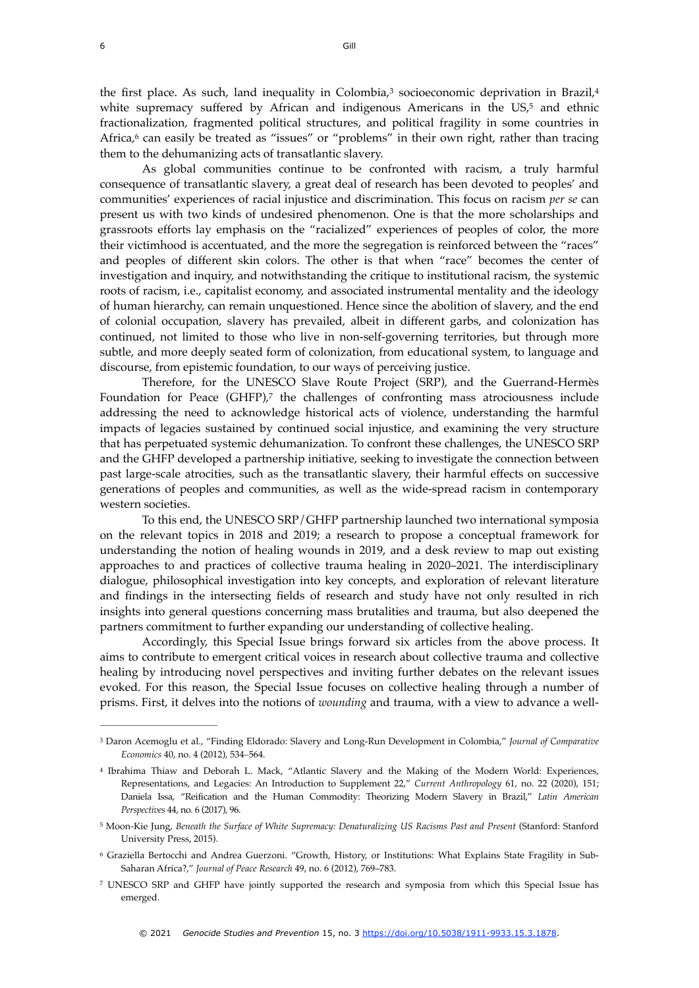<span id="page-3-7"></span><span id="page-3-6"></span><span id="page-3-5"></span>the first place. As such, land inequality in Colombia, $3$  socioeconomic deprivation in Brazil, $4$ white supremacy suffered by African and indigenous Americans in the  $US<sub>2</sub>$ <sup>[5](#page-3-2)</sup> and ethnic fractionalization, fragmented political structures, and political fragility in some countries in Africa, $6$  can easily be treated as "issues" or "problems" in their own right, rather than tracing them to the dehumanizing acts of transatlantic slavery.

<span id="page-3-8"></span>As global communities continue to be confronted with racism, a truly harmful consequence of transatlantic slavery, a great deal of research has been devoted to peoples' and communities' experiences of racial injustice and discrimination. This focus on racism *per se* can present us with two kinds of undesired phenomenon. One is that the more scholarships and grassroots efforts lay emphasis on the "racialized" experiences of peoples of color, the more their victimhood is accentuated, and the more the segregation is reinforced between the "races" and peoples of different skin colors. The other is that when "race" becomes the center of investigation and inquiry, and notwithstanding the critique to institutional racism, the systemic roots of racism, i.e., capitalist economy, and associated instrumental mentality and the ideology of human hierarchy, can remain unquestioned. Hence since the abolition of slavery, and the end of colonial occupation, slavery has prevailed, albeit in different garbs, and colonization has continued, not limited to those who live in non-self-governing territories, but through more subtle, and more deeply seated form of colonization, from educational system, to language and discourse, from epistemic foundation, to our ways of perceiving justice.

<span id="page-3-9"></span>Therefore, for the UNESCO Slave Route Project (SRP), and the Guerrand-Hermès Foundation for Peace (GHFP)[,](#page-3-4)<sup>[7](#page-3-4)</sup> the challenges of confronting mass atrociousness include addressing the need to acknowledge historical acts of violence, understanding the harmful impacts of legacies sustained by continued social injustice, and examining the very structure that has perpetuated systemic dehumanization. To confront these challenges, the UNESCO SRP and the GHFP developed a partnership initiative, seeking to investigate the connection between past large-scale atrocities, such as the transatlantic slavery, their harmful effects on successive generations of peoples and communities, as well as the wide-spread racism in contemporary western societies.

To this end, the UNESCO SRP/GHFP partnership launched two international symposia on the relevant topics in 2018 and 2019; a research to propose a conceptual framework for understanding the notion of healing wounds in 2019, and a desk review to map out existing approaches to and practices of collective trauma healing in 2020–2021. The interdisciplinary dialogue, philosophical investigation into key concepts, and exploration of relevant literature and findings in the intersecting fields of research and study have not only resulted in rich insights into general questions concerning mass brutalities and trauma, but also deepened the partners commitment to further expanding our understanding of collective healing.

Accordingly, this Special Issue brings forward six articles from the above process. It aims to contribute to emergent critical voices in research about collective trauma and collective healing by introducing novel perspectives and inviting further debates on the relevant issues evoked. For this reason, the Special Issue focuses on collective healing through a number of prisms. First, it delves into the notions of *wounding* and trauma, with a view to advance a well-

<span id="page-3-0"></span>Daron Acemoglu et al., "Finding Eldorado: Slavery and Long-Run Development in Colombia," *Journal of Comparative* [3](#page-3-5) *Economics* 40, no. 4 (2012), 534–564.

<span id="page-3-1"></span><sup>&</sup>lt;sup>4</sup>Ibrahima Thiaw and Deborah L. Mack, "Atlantic Slavery and the Making of the Modern World: Experiences, Representations, and Legacies: An Introduction to Supplement 22," *Current Anthropology* 61, no. 22 (2020), 151; Daniela Issa, "Reification and the Human Commodity: Theorizing Modern Slavery in Brazil," *Latin American Perspectives* 44, no. 6 (2017), 96.

<span id="page-3-2"></span><sup>&</sup>lt;sup>[5](#page-3-7)</sup> Moon-Kie Jung, *Beneath the Surface of White Supremacy: Denaturalizing US Racisms Past and Present (Stanford: Stanford* University Press, 2015).

<span id="page-3-3"></span>Graziella Bertocchi and Andrea Guerzoni. "Growth, History, or Institutions: What Explains State Fragility in Sub- [6](#page-3-8) Saharan Africa?," *Journal of Peace Research* 49, no. 6 (2012), 769–783.

<span id="page-3-4"></span>UNESCO SRP and GHFP have jointly supported the research and symposia from which this Special Issue has [7](#page-3-9) emerged.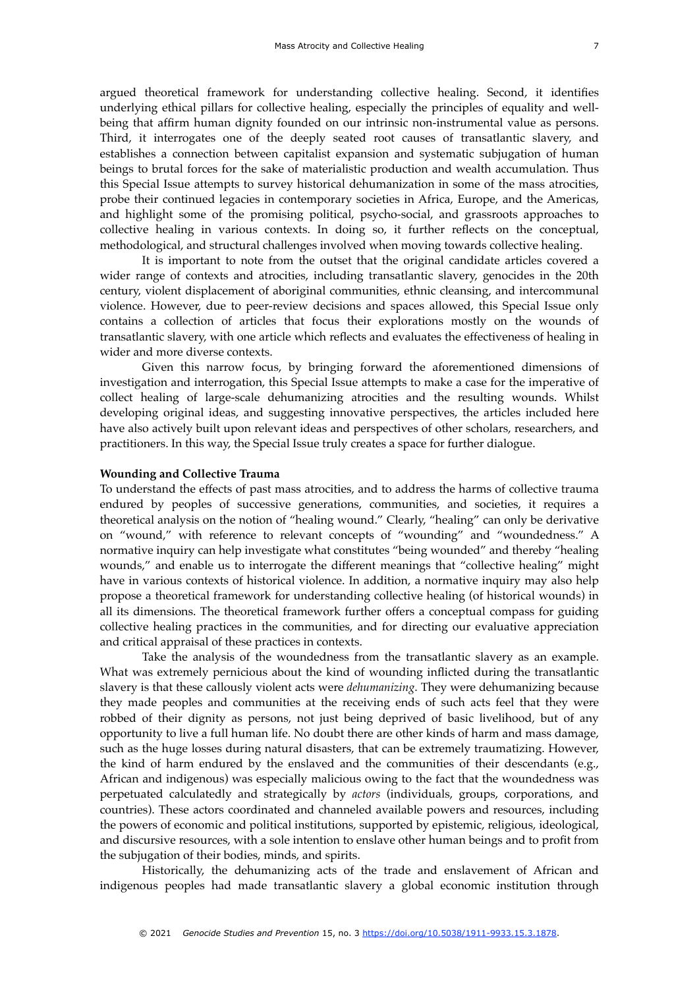argued theoretical framework for understanding collective healing. Second, it identifies underlying ethical pillars for collective healing, especially the principles of equality and wellbeing that affirm human dignity founded on our intrinsic non-instrumental value as persons. Third, it interrogates one of the deeply seated root causes of transatlantic slavery, and establishes a connection between capitalist expansion and systematic subjugation of human beings to brutal forces for the sake of materialistic production and wealth accumulation. Thus this Special Issue attempts to survey historical dehumanization in some of the mass atrocities, probe their continued legacies in contemporary societies in Africa, Europe, and the Americas, and highlight some of the promising political, psycho-social, and grassroots approaches to collective healing in various contexts. In doing so, it further reflects on the conceptual, methodological, and structural challenges involved when moving towards collective healing.

It is important to note from the outset that the original candidate articles covered a wider range of contexts and atrocities, including transatlantic slavery, genocides in the 20th century, violent displacement of aboriginal communities, ethnic cleansing, and intercommunal violence. However, due to peer-review decisions and spaces allowed, this Special Issue only contains a collection of articles that focus their explorations mostly on the wounds of transatlantic slavery, with one article which reflects and evaluates the effectiveness of healing in wider and more diverse contexts.

Given this narrow focus, by bringing forward the aforementioned dimensions of investigation and interrogation, this Special Issue attempts to make a case for the imperative of collect healing of large-scale dehumanizing atrocities and the resulting wounds. Whilst developing original ideas, and suggesting innovative perspectives, the articles included here have also actively built upon relevant ideas and perspectives of other scholars, researchers, and practitioners. In this way, the Special Issue truly creates a space for further dialogue.

#### **Wounding and Collective Trauma**

To understand the effects of past mass atrocities, and to address the harms of collective trauma endured by peoples of successive generations, communities, and societies, it requires a theoretical analysis on the notion of "healing wound." Clearly, "healing" can only be derivative on "wound," with reference to relevant concepts of "wounding" and "woundedness." A normative inquiry can help investigate what constitutes "being wounded" and thereby "healing wounds," and enable us to interrogate the different meanings that "collective healing" might have in various contexts of historical violence. In addition, a normative inquiry may also help propose a theoretical framework for understanding collective healing (of historical wounds) in all its dimensions. The theoretical framework further offers a conceptual compass for guiding collective healing practices in the communities, and for directing our evaluative appreciation and critical appraisal of these practices in contexts.

Take the analysis of the woundedness from the transatlantic slavery as an example. What was extremely pernicious about the kind of wounding inflicted during the transatlantic slavery is that these callously violent acts were *dehumanizing*. They were dehumanizing because they made peoples and communities at the receiving ends of such acts feel that they were robbed of their dignity as persons, not just being deprived of basic livelihood, but of any opportunity to live a full human life. No doubt there are other kinds of harm and mass damage, such as the huge losses during natural disasters, that can be extremely traumatizing. However, the kind of harm endured by the enslaved and the communities of their descendants (e.g., African and indigenous) was especially malicious owing to the fact that the woundedness was perpetuated calculatedly and strategically by *actors* (individuals, groups, corporations, and countries). These actors coordinated and channeled available powers and resources, including the powers of economic and political institutions, supported by epistemic, religious, ideological, and discursive resources, with a sole intention to enslave other human beings and to profit from the subjugation of their bodies, minds, and spirits.

Historically, the dehumanizing acts of the trade and enslavement of African and indigenous peoples had made transatlantic slavery a global economic institution through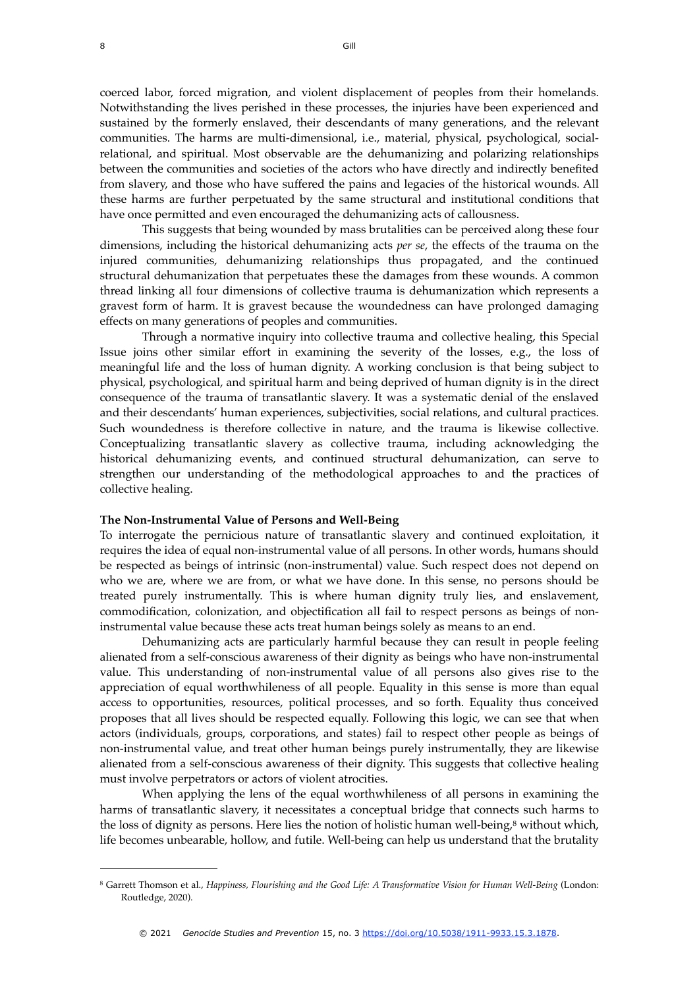coerced labor, forced migration, and violent displacement of peoples from their homelands. Notwithstanding the lives perished in these processes, the injuries have been experienced and sustained by the formerly enslaved, their descendants of many generations, and the relevant communities. The harms are multi-dimensional, i.e., material, physical, psychological, socialrelational, and spiritual. Most observable are the dehumanizing and polarizing relationships between the communities and societies of the actors who have directly and indirectly benefited from slavery, and those who have suffered the pains and legacies of the historical wounds. All these harms are further perpetuated by the same structural and institutional conditions that have once permitted and even encouraged the dehumanizing acts of callousness.

This suggests that being wounded by mass brutalities can be perceived along these four dimensions, including the historical dehumanizing acts *per se*, the effects of the trauma on the injured communities, dehumanizing relationships thus propagated, and the continued structural dehumanization that perpetuates these the damages from these wounds. A common thread linking all four dimensions of collective trauma is dehumanization which represents a gravest form of harm. It is gravest because the woundedness can have prolonged damaging effects on many generations of peoples and communities.

Through a normative inquiry into collective trauma and collective healing, this Special Issue joins other similar effort in examining the severity of the losses, e.g., the loss of meaningful life and the loss of human dignity. A working conclusion is that being subject to physical, psychological, and spiritual harm and being deprived of human dignity is in the direct consequence of the trauma of transatlantic slavery. It was a systematic denial of the enslaved and their descendants' human experiences, subjectivities, social relations, and cultural practices. Such woundedness is therefore collective in nature, and the trauma is likewise collective. Conceptualizing transatlantic slavery as collective trauma, including acknowledging the historical dehumanizing events, and continued structural dehumanization, can serve to strengthen our understanding of the methodological approaches to and the practices of collective healing.

#### **The Non-Instrumental Value of Persons and Well-Being**

To interrogate the pernicious nature of transatlantic slavery and continued exploitation, it requires the idea of equal non-instrumental value of all persons. In other words, humans should be respected as beings of intrinsic (non-instrumental) value. Such respect does not depend on who we are, where we are from, or what we have done. In this sense, no persons should be treated purely instrumentally. This is where human dignity truly lies, and enslavement, commodification, colonization, and objectification all fail to respect persons as beings of noninstrumental value because these acts treat human beings solely as means to an end.

Dehumanizing acts are particularly harmful because they can result in people feeling alienated from a self-conscious awareness of their dignity as beings who have non-instrumental value. This understanding of non-instrumental value of all persons also gives rise to the appreciation of equal worthwhileness of all people. Equality in this sense is more than equal access to opportunities, resources, political processes, and so forth. Equality thus conceived proposes that all lives should be respected equally. Following this logic, we can see that when actors (individuals, groups, corporations, and states) fail to respect other people as beings of non-instrumental value, and treat other human beings purely instrumentally, they are likewise alienated from a self-conscious awareness of their dignity. This suggests that collective healing must involve perpetrators or actors of violent atrocities.

<span id="page-5-1"></span>When applying the lens of the equal worthwhileness of all persons in examining the harms of transatlantic slavery, it necessitates a conceptual bridge that connects such harms to the loss of dignity as persons. Here lies the notion of holistic human well-being, $\frac{8}{3}$  $\frac{8}{3}$  $\frac{8}{3}$  without which, life becomes unbearable, hollow, and futile. Well-being can help us understand that the brutality

<span id="page-5-0"></span>Garrett Thomson et al., *Happiness, Flourishing and the Good Life: A Transformative Vision for Human Well-Being* (London: [8](#page-5-1) Routledge, 2020).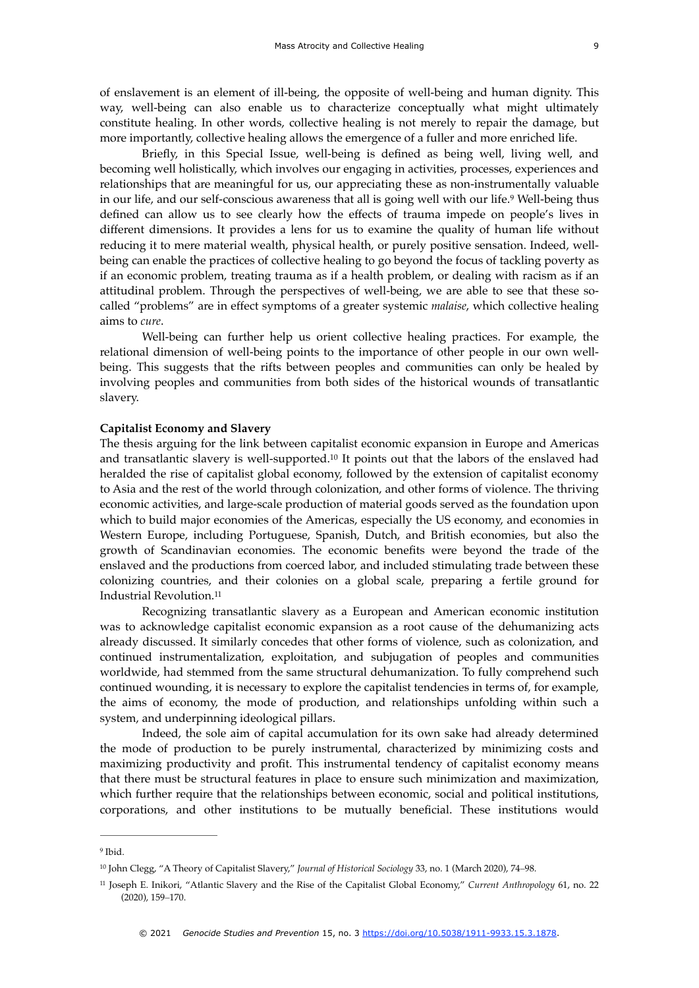of enslavement is an element of ill-being, the opposite of well-being and human dignity. This way, well-being can also enable us to characterize conceptually what might ultimately constitute healing. In other words, collective healing is not merely to repair the damage, but more importantly, collective healing allows the emergence of a fuller and more enriched life.

<span id="page-6-3"></span>Briefly, in this Special Issue, well-being is defined as being well, living well, and becoming well holistically, which involves our engaging in activities, processes, experiences and relationships that are meaningful for us, our appreciating these as non-instrumentally valuable inour life, and our self-conscious awareness that all is going well with our life.<sup>[9](#page-6-0)</sup> Well-being thus defined can allow us to see clearly how the effects of trauma impede on people's lives in different dimensions. It provides a lens for us to examine the quality of human life without reducing it to mere material wealth, physical health, or purely positive sensation. Indeed, wellbeing can enable the practices of collective healing to go beyond the focus of tackling poverty as if an economic problem, treating trauma as if a health problem, or dealing with racism as if an attitudinal problem. Through the perspectives of well-being, we are able to see that these socalled "problems" are in effect symptoms of a greater systemic *malaise*, which collective healing aims to *cure*.

Well-being can further help us orient collective healing practices. For example, the relational dimension of well-being points to the importance of other people in our own wellbeing. This suggests that the rifts between peoples and communities can only be healed by involving peoples and communities from both sides of the historical wounds of transatlantic slavery.

#### **Capitalist Economy and Slavery**

<span id="page-6-4"></span>The thesis arguing for the link between capitalist economic expansion in Europe and Americas and transatlantic slavery is well-supported.<sup>[10](#page-6-1)</sup> It points out that the labors of the enslaved had heralded the rise of capitalist global economy, followed by the extension of capitalist economy to Asia and the rest of the world through colonization, and other forms of violence. The thriving economic activities, and large-scale production of material goods served as the foundation upon which to build major economies of the Americas, especially the US economy, and economies in Western Europe, including Portuguese, Spanish, Dutch, and British economies, but also the growth of Scandinavian economies. The economic benefits were beyond the trade of the enslaved and the productions from coerced labor, and included stimulating trade between these colonizing countries, and their colonies on a global scale, preparing a fertile ground for Industrial Revolution.[11](#page-6-2)

<span id="page-6-5"></span>Recognizing transatlantic slavery as a European and American economic institution was to acknowledge capitalist economic expansion as a root cause of the dehumanizing acts already discussed. It similarly concedes that other forms of violence, such as colonization, and continued instrumentalization, exploitation, and subjugation of peoples and communities worldwide, had stemmed from the same structural dehumanization. To fully comprehend such continued wounding, it is necessary to explore the capitalist tendencies in terms of, for example, the aims of economy, the mode of production, and relationships unfolding within such a system, and underpinning ideological pillars.

Indeed, the sole aim of capital accumulation for its own sake had already determined the mode of production to be purely instrumental, characterized by minimizing costs and maximizing productivity and profit. This instrumental tendency of capitalist economy means that there must be structural features in place to ensure such minimization and maximization, which further require that the relationships between economic, social and political institutions, corporations, and other institutions to be mutually beneficial. These institutions would

<span id="page-6-0"></span>[<sup>9</sup>](#page-6-3) Ibid.

<span id="page-6-1"></span><sup>&</sup>lt;sup>[10](#page-6-4)</sup> John Clegg, "A Theory of Capitalist Slavery," *Journal of Historical Sociology* 33, no. 1 (March 2020), 74–98.

<span id="page-6-2"></span><sup>&</sup>lt;sup>[11](#page-6-5)</sup> Joseph E. Inikori, "Atlantic Slavery and the Rise of the Capitalist Global Economy," *Current Anthropology* 61, no. 22 (2020), 159–170.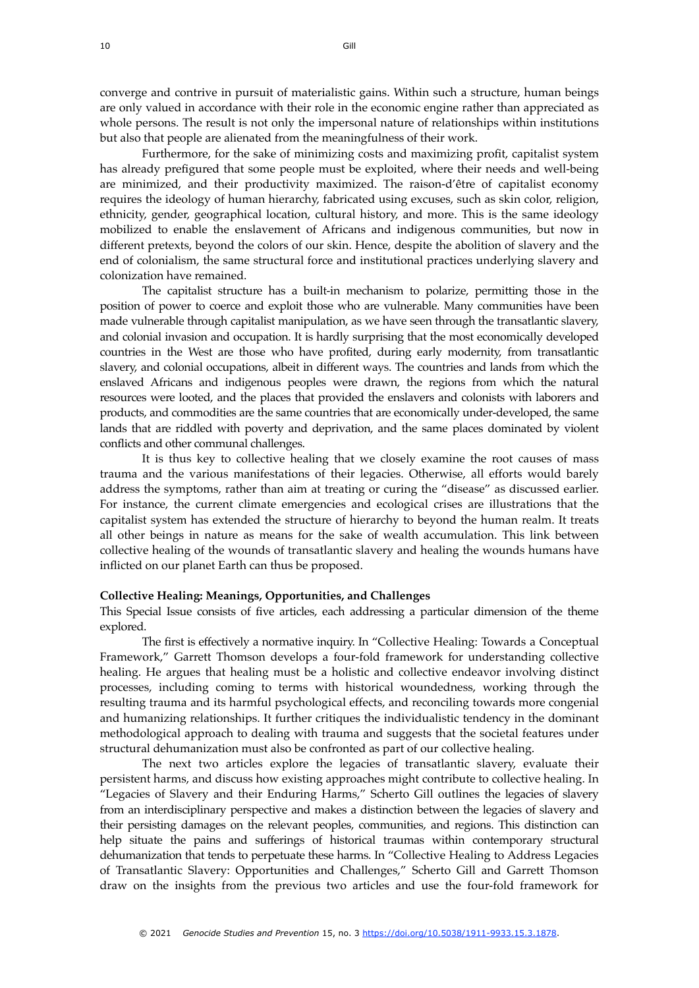converge and contrive in pursuit of materialistic gains. Within such a structure, human beings are only valued in accordance with their role in the economic engine rather than appreciated as whole persons. The result is not only the impersonal nature of relationships within institutions but also that people are alienated from the meaningfulness of their work.

Furthermore, for the sake of minimizing costs and maximizing profit, capitalist system has already prefigured that some people must be exploited, where their needs and well-being are minimized, and their productivity maximized. The raison-d'être of capitalist economy requires the ideology of human hierarchy, fabricated using excuses, such as skin color, religion, ethnicity, gender, geographical location, cultural history, and more. This is the same ideology mobilized to enable the enslavement of Africans and indigenous communities, but now in different pretexts, beyond the colors of our skin. Hence, despite the abolition of slavery and the end of colonialism, the same structural force and institutional practices underlying slavery and colonization have remained.

The capitalist structure has a built-in mechanism to polarize, permitting those in the position of power to coerce and exploit those who are vulnerable. Many communities have been made vulnerable through capitalist manipulation, as we have seen through the transatlantic slavery, and colonial invasion and occupation. It is hardly surprising that the most economically developed countries in the West are those who have profited, during early modernity, from transatlantic slavery, and colonial occupations, albeit in different ways. The countries and lands from which the enslaved Africans and indigenous peoples were drawn, the regions from which the natural resources were looted, and the places that provided the enslavers and colonists with laborers and products, and commodities are the same countries that are economically under-developed, the same lands that are riddled with poverty and deprivation, and the same places dominated by violent conflicts and other communal challenges.

It is thus key to collective healing that we closely examine the root causes of mass trauma and the various manifestations of their legacies. Otherwise, all efforts would barely address the symptoms, rather than aim at treating or curing the "disease" as discussed earlier. For instance, the current climate emergencies and ecological crises are illustrations that the capitalist system has extended the structure of hierarchy to beyond the human realm. It treats all other beings in nature as means for the sake of wealth accumulation. This link between collective healing of the wounds of transatlantic slavery and healing the wounds humans have inflicted on our planet Earth can thus be proposed.

#### **Collective Healing: Meanings, Opportunities, and Challenges**

This Special Issue consists of five articles, each addressing a particular dimension of the theme explored.

The first is effectively a normative inquiry. In "Collective Healing: Towards a Conceptual Framework," Garrett Thomson develops a four-fold framework for understanding collective healing. He argues that healing must be a holistic and collective endeavor involving distinct processes, including coming to terms with historical woundedness, working through the resulting trauma and its harmful psychological effects, and reconciling towards more congenial and humanizing relationships. It further critiques the individualistic tendency in the dominant methodological approach to dealing with trauma and suggests that the societal features under structural dehumanization must also be confronted as part of our collective healing.

The next two articles explore the legacies of transatlantic slavery, evaluate their persistent harms, and discuss how existing approaches might contribute to collective healing. In "Legacies of Slavery and their Enduring Harms," Scherto Gill outlines the legacies of slavery from an interdisciplinary perspective and makes a distinction between the legacies of slavery and their persisting damages on the relevant peoples, communities, and regions. This distinction can help situate the pains and sufferings of historical traumas within contemporary structural dehumanization that tends to perpetuate these harms. In "Collective Healing to Address Legacies of Transatlantic Slavery: Opportunities and Challenges," Scherto Gill and Garrett Thomson draw on the insights from the previous two articles and use the four-fold framework for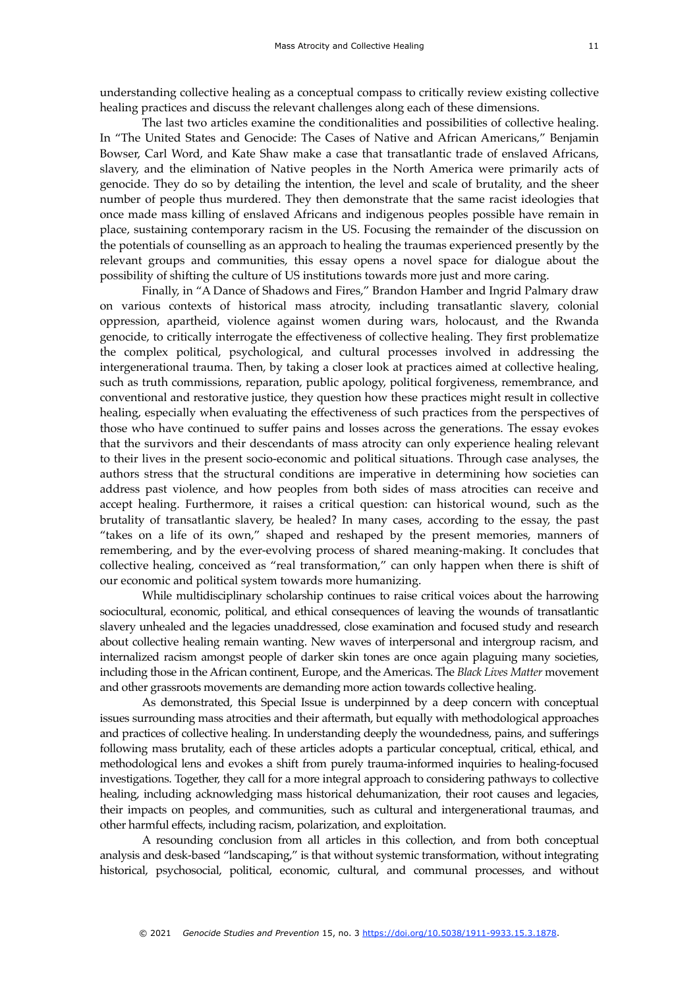understanding collective healing as a conceptual compass to critically review existing collective healing practices and discuss the relevant challenges along each of these dimensions.

The last two articles examine the conditionalities and possibilities of collective healing. In "The United States and Genocide: The Cases of Native and African Americans," Benjamin Bowser, Carl Word, and Kate Shaw make a case that transatlantic trade of enslaved Africans, slavery, and the elimination of Native peoples in the North America were primarily acts of genocide. They do so by detailing the intention, the level and scale of brutality, and the sheer number of people thus murdered. They then demonstrate that the same racist ideologies that once made mass killing of enslaved Africans and indigenous peoples possible have remain in place, sustaining contemporary racism in the US. Focusing the remainder of the discussion on the potentials of counselling as an approach to healing the traumas experienced presently by the relevant groups and communities, this essay opens a novel space for dialogue about the possibility of shifting the culture of US institutions towards more just and more caring.

Finally, in "A Dance of Shadows and Fires," Brandon Hamber and Ingrid Palmary draw on various contexts of historical mass atrocity, including transatlantic slavery, colonial oppression, apartheid, violence against women during wars, holocaust, and the Rwanda genocide, to critically interrogate the effectiveness of collective healing. They first problematize the complex political, psychological, and cultural processes involved in addressing the intergenerational trauma. Then, by taking a closer look at practices aimed at collective healing, such as truth commissions, reparation, public apology, political forgiveness, remembrance, and conventional and restorative justice, they question how these practices might result in collective healing, especially when evaluating the effectiveness of such practices from the perspectives of those who have continued to suffer pains and losses across the generations. The essay evokes that the survivors and their descendants of mass atrocity can only experience healing relevant to their lives in the present socio-economic and political situations. Through case analyses, the authors stress that the structural conditions are imperative in determining how societies can address past violence, and how peoples from both sides of mass atrocities can receive and accept healing. Furthermore, it raises a critical question: can historical wound, such as the brutality of transatlantic slavery, be healed? In many cases, according to the essay, the past "takes on a life of its own," shaped and reshaped by the present memories, manners of remembering, and by the ever-evolving process of shared meaning-making. It concludes that collective healing, conceived as "real transformation," can only happen when there is shift of our economic and political system towards more humanizing.

While multidisciplinary scholarship continues to raise critical voices about the harrowing sociocultural, economic, political, and ethical consequences of leaving the wounds of transatlantic slavery unhealed and the legacies unaddressed, close examination and focused study and research about collective healing remain wanting. New waves of interpersonal and intergroup racism, and internalized racism amongst people of darker skin tones are once again plaguing many societies, including those in the African continent, Europe, and the Americas. The *Black Lives Matter* movement and other grassroots movements are demanding more action towards collective healing.

As demonstrated, this Special Issue is underpinned by a deep concern with conceptual issues surrounding mass atrocities and their aftermath, but equally with methodological approaches and practices of collective healing. In understanding deeply the woundedness, pains, and sufferings following mass brutality, each of these articles adopts a particular conceptual, critical, ethical, and methodological lens and evokes a shift from purely trauma-informed inquiries to healing-focused investigations. Together, they call for a more integral approach to considering pathways to collective healing, including acknowledging mass historical dehumanization, their root causes and legacies, their impacts on peoples, and communities, such as cultural and intergenerational traumas, and other harmful effects, including racism, polarization, and exploitation.

A resounding conclusion from all articles in this collection, and from both conceptual analysis and desk-based "landscaping," is that without systemic transformation, without integrating historical, psychosocial, political, economic, cultural, and communal processes, and without